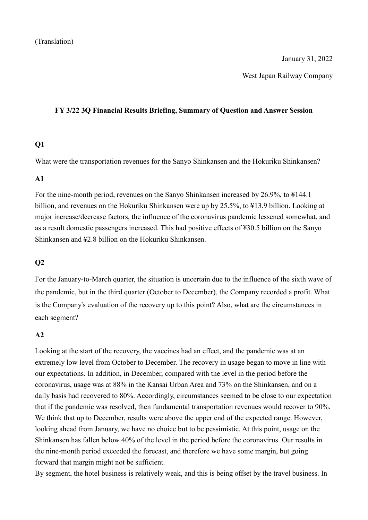#### January 31, 2022

West Japan Railway Company

#### **FY 3/22 3Q Financial Results Briefing, Summary of Question and Answer Session**

### **Q1**

What were the transportation revenues for the Sanyo Shinkansen and the Hokuriku Shinkansen?

### **A1**

For the nine-month period, revenues on the Sanyo Shinkansen increased by 26.9%, to ¥144.1 billion, and revenues on the Hokuriku Shinkansen were up by 25.5%, to ¥13.9 billion. Looking at major increase/decrease factors, the influence of the coronavirus pandemic lessened somewhat, and as a result domestic passengers increased. This had positive effects of ¥30.5 billion on the Sanyo Shinkansen and ¥2.8 billion on the Hokuriku Shinkansen.

## **Q2**

For the January-to-March quarter, the situation is uncertain due to the influence of the sixth wave of the pandemic, but in the third quarter (October to December), the Company recorded a profit. What is the Company's evaluation of the recovery up to this point? Also, what are the circumstances in each segment?

# **A2**

Looking at the start of the recovery, the vaccines had an effect, and the pandemic was at an extremely low level from October to December. The recovery in usage began to move in line with our expectations. In addition, in December, compared with the level in the period before the coronavirus, usage was at 88% in the Kansai Urban Area and 73% on the Shinkansen, and on a daily basis had recovered to 80%. Accordingly, circumstances seemed to be close to our expectation that if the pandemic was resolved, then fundamental transportation revenues would recover to 90%. We think that up to December, results were above the upper end of the expected range. However, looking ahead from January, we have no choice but to be pessimistic. At this point, usage on the Shinkansen has fallen below 40% of the level in the period before the coronavirus. Our results in the nine-month period exceeded the forecast, and therefore we have some margin, but going forward that margin might not be sufficient.

By segment, the hotel business is relatively weak, and this is being offset by the travel business. In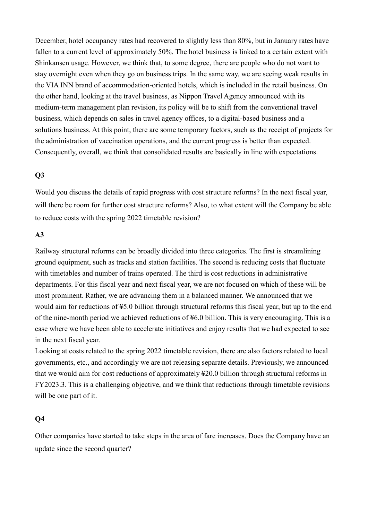December, hotel occupancy rates had recovered to slightly less than 80%, but in January rates have fallen to a current level of approximately 50%. The hotel business is linked to a certain extent with Shinkansen usage. However, we think that, to some degree, there are people who do not want to stay overnight even when they go on business trips. In the same way, we are seeing weak results in the VIA INN brand of accommodation-oriented hotels, which is included in the retail business. On the other hand, looking at the travel business, as Nippon Travel Agency announced with its medium-term management plan revision, its policy will be to shift from the conventional travel business, which depends on sales in travel agency offices, to a digital-based business and a solutions business. At this point, there are some temporary factors, such as the receipt of projects for the administration of vaccination operations, and the current progress is better than expected. Consequently, overall, we think that consolidated results are basically in line with expectations.

### **Q3**

Would you discuss the details of rapid progress with cost structure reforms? In the next fiscal year, will there be room for further cost structure reforms? Also, to what extent will the Company be able to reduce costs with the spring 2022 timetable revision?

#### **A3**

Railway structural reforms can be broadly divided into three categories. The first is streamlining ground equipment, such as tracks and station facilities. The second is reducing costs that fluctuate with timetables and number of trains operated. The third is cost reductions in administrative departments. For this fiscal year and next fiscal year, we are not focused on which of these will be most prominent. Rather, we are advancing them in a balanced manner. We announced that we would aim for reductions of ¥5.0 billion through structural reforms this fiscal year, but up to the end of the nine-month period we achieved reductions of ¥6.0 billion. This is very encouraging. This is a case where we have been able to accelerate initiatives and enjoy results that we had expected to see in the next fiscal year.

Looking at costs related to the spring 2022 timetable revision, there are also factors related to local governments, etc., and accordingly we are not releasing separate details. Previously, we announced that we would aim for cost reductions of approximately ¥20.0 billion through structural reforms in FY2023.3. This is a challenging objective, and we think that reductions through timetable revisions will be one part of it.

# **Q4**

Other companies have started to take steps in the area of fare increases. Does the Company have an update since the second quarter?